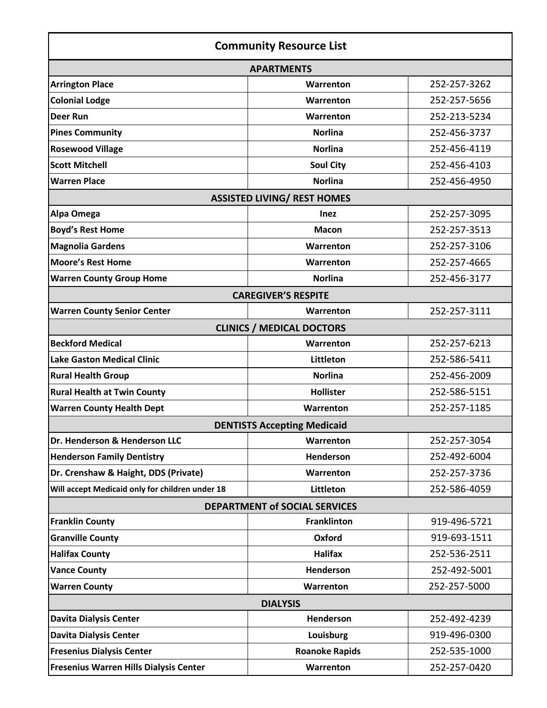| <b>Community Resource List</b>                  |                                    |              |
|-------------------------------------------------|------------------------------------|--------------|
|                                                 | <b>APARTMENTS</b>                  |              |
| <b>Arrington Place</b>                          | Warrenton                          | 252-257-3262 |
| <b>Colonial Lodge</b>                           | Warrenton                          | 252-257-5656 |
| <b>Deer Run</b>                                 | Warrenton                          | 252-213-5234 |
| <b>Pines Community</b>                          | <b>Norlina</b>                     | 252-456-3737 |
| <b>Rosewood Village</b>                         | <b>Norlina</b>                     | 252-456-4119 |
| <b>Scott Mitchell</b>                           | <b>Soul City</b>                   | 252-456-4103 |
| <b>Warren Place</b>                             | <b>Norlina</b>                     | 252-456-4950 |
|                                                 | <b>ASSISTED LIVING/ REST HOMES</b> |              |
| Alpa Omega                                      | <b>Inez</b>                        | 252-257-3095 |
| <b>Boyd's Rest Home</b>                         | <b>Macon</b>                       | 252-257-3513 |
| <b>Magnolia Gardens</b>                         | Warrenton                          | 252-257-3106 |
| <b>Moore's Rest Home</b>                        | Warrenton                          | 252-257-4665 |
| <b>Warren County Group Home</b>                 | <b>Norlina</b>                     | 252-456-3177 |
|                                                 | <b>CAREGIVER'S RESPITE</b>         |              |
| <b>Warren County Senior Center</b>              | Warrenton                          | 252-257-3111 |
|                                                 | <b>CLINICS / MEDICAL DOCTORS</b>   |              |
| <b>Beckford Medical</b>                         | Warrenton                          | 252-257-6213 |
| <b>Lake Gaston Medical Clinic</b>               | Littleton                          | 252-586-5411 |
| <b>Rural Health Group</b>                       | <b>Norlina</b>                     | 252-456-2009 |
| <b>Rural Health at Twin County</b>              | <b>Hollister</b>                   | 252-586-5151 |
| <b>Warren County Health Dept</b>                | Warrenton                          | 252-257-1185 |
|                                                 | <b>DENTISTS Accepting Medicaid</b> |              |
| Dr. Henderson & Henderson LLC                   | Warrenton                          | 252-257-3054 |
| <b>Henderson Family Dentistry</b>               | Henderson                          | 252-492-6004 |
| Dr. Crenshaw & Haight, DDS (Private)            | Warrenton                          | 252-257-3736 |
| Will accept Medicaid only for children under 18 | Littleton                          | 252-586-4059 |
| <b>DEPARTMENT of SOCIAL SERVICES</b>            |                                    |              |
| <b>Franklin County</b>                          | <b>Franklinton</b>                 | 919-496-5721 |
| <b>Granville County</b>                         | Oxford                             | 919-693-1511 |
| <b>Halifax County</b>                           | <b>Halifax</b>                     | 252-536-2511 |
| <b>Vance County</b>                             | Henderson                          | 252-492-5001 |
| <b>Warren County</b>                            | Warrenton                          | 252-257-5000 |
| <b>DIALYSIS</b>                                 |                                    |              |
| <b>Davita Dialysis Center</b>                   | Henderson                          | 252-492-4239 |
| <b>Davita Dialysis Center</b>                   | Louisburg                          | 919-496-0300 |
| <b>Fresenius Dialysis Center</b>                | <b>Roanoke Rapids</b>              | 252-535-1000 |
| Fresenius Warren Hills Dialysis Center          | Warrenton                          | 252-257-0420 |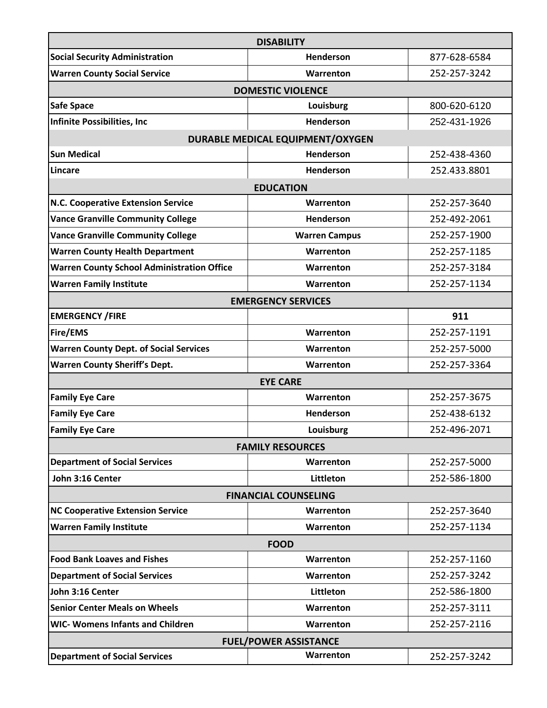| <b>DISABILITY</b>                                 |                                  |              |  |
|---------------------------------------------------|----------------------------------|--------------|--|
| <b>Social Security Administration</b>             | <b>Henderson</b>                 | 877-628-6584 |  |
| <b>Warren County Social Service</b>               | Warrenton                        | 252-257-3242 |  |
| <b>DOMESTIC VIOLENCE</b>                          |                                  |              |  |
| Safe Space                                        | Louisburg                        | 800-620-6120 |  |
| Infinite Possibilities, Inc                       | <b>Henderson</b>                 | 252-431-1926 |  |
|                                                   | DURABLE MEDICAL EQUIPMENT/OXYGEN |              |  |
| <b>Sun Medical</b>                                | <b>Henderson</b>                 | 252-438-4360 |  |
| Lincare                                           | Henderson                        | 252.433.8801 |  |
|                                                   | <b>EDUCATION</b>                 |              |  |
| N.C. Cooperative Extension Service                | Warrenton                        | 252-257-3640 |  |
| <b>Vance Granville Community College</b>          | <b>Henderson</b>                 | 252-492-2061 |  |
| <b>Vance Granville Community College</b>          | <b>Warren Campus</b>             | 252-257-1900 |  |
| <b>Warren County Health Department</b>            | Warrenton                        | 252-257-1185 |  |
| <b>Warren County School Administration Office</b> | Warrenton                        | 252-257-3184 |  |
| <b>Warren Family Institute</b>                    | Warrenton                        | 252-257-1134 |  |
|                                                   | <b>EMERGENCY SERVICES</b>        |              |  |
| <b>EMERGENCY / FIRE</b>                           |                                  | 911          |  |
| Fire/EMS                                          | Warrenton                        | 252-257-1191 |  |
| <b>Warren County Dept. of Social Services</b>     | Warrenton                        | 252-257-5000 |  |
| <b>Warren County Sheriff's Dept.</b>              | Warrenton                        | 252-257-3364 |  |
|                                                   | <b>EYE CARE</b>                  |              |  |
| <b>Family Eye Care</b>                            | Warrenton                        | 252-257-3675 |  |
| <b>Family Eye Care</b>                            | <b>Henderson</b>                 | 252-438-6132 |  |
| <b>Family Eye Care</b>                            | Louisburg                        | 252-496-2071 |  |
|                                                   | <b>FAMILY RESOURCES</b>          |              |  |
| <b>Department of Social Services</b>              | Warrenton                        | 252-257-5000 |  |
| John 3:16 Center                                  | Littleton                        | 252-586-1800 |  |
| <b>FINANCIAL COUNSELING</b>                       |                                  |              |  |
| <b>NC Cooperative Extension Service</b>           | Warrenton                        | 252-257-3640 |  |
| <b>Warren Family Institute</b>                    | Warrenton                        | 252-257-1134 |  |
| <b>FOOD</b>                                       |                                  |              |  |
| <b>Food Bank Loaves and Fishes</b>                | Warrenton                        | 252-257-1160 |  |
| <b>Department of Social Services</b>              | Warrenton                        | 252-257-3242 |  |
| John 3:16 Center                                  | Littleton                        | 252-586-1800 |  |
| <b>Senior Center Meals on Wheels</b>              | Warrenton                        | 252-257-3111 |  |
| <b>WIC- Womens Infants and Children</b>           | Warrenton                        | 252-257-2116 |  |
| <b>FUEL/POWER ASSISTANCE</b>                      |                                  |              |  |
| <b>Department of Social Services</b>              | Warrenton                        | 252-257-3242 |  |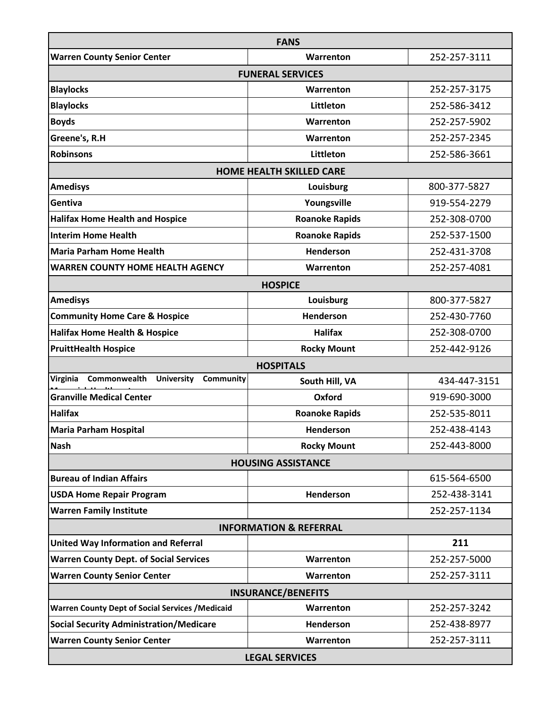| <b>FANS</b>                                                |                                 |              |  |
|------------------------------------------------------------|---------------------------------|--------------|--|
| <b>Warren County Senior Center</b>                         | Warrenton                       | 252-257-3111 |  |
| <b>FUNERAL SERVICES</b>                                    |                                 |              |  |
| <b>Blaylocks</b>                                           | Warrenton                       | 252-257-3175 |  |
| <b>Blaylocks</b>                                           | Littleton                       | 252-586-3412 |  |
| <b>Boyds</b>                                               | Warrenton                       | 252-257-5902 |  |
| Greene's, R.H                                              | Warrenton                       | 252-257-2345 |  |
| <b>Robinsons</b>                                           | Littleton                       | 252-586-3661 |  |
|                                                            | <b>HOME HEALTH SKILLED CARE</b> |              |  |
| <b>Amedisys</b>                                            | Louisburg                       | 800-377-5827 |  |
| Gentiva                                                    | Youngsville                     | 919-554-2279 |  |
| <b>Halifax Home Health and Hospice</b>                     | <b>Roanoke Rapids</b>           | 252-308-0700 |  |
| <b>Interim Home Health</b>                                 | <b>Roanoke Rapids</b>           | 252-537-1500 |  |
| <b>Maria Parham Home Health</b>                            | Henderson                       | 252-431-3708 |  |
| <b>WARREN COUNTY HOME HEALTH AGENCY</b>                    | Warrenton                       | 252-257-4081 |  |
|                                                            | <b>HOSPICE</b>                  |              |  |
| <b>Amedisys</b>                                            | Louisburg                       | 800-377-5827 |  |
| <b>Community Home Care &amp; Hospice</b>                   | <b>Henderson</b>                | 252-430-7760 |  |
| <b>Halifax Home Health &amp; Hospice</b>                   | <b>Halifax</b>                  | 252-308-0700 |  |
| <b>PruittHealth Hospice</b>                                | <b>Rocky Mount</b>              | 252-442-9126 |  |
|                                                            | <b>HOSPITALS</b>                |              |  |
| Virginia<br>Commonwealth<br><b>University</b><br>Community | South Hill, VA                  | 434-447-3151 |  |
| <b>Granville Medical Center</b>                            | Oxford                          | 919-690-3000 |  |
| <b>Halifax</b>                                             | <b>Roanoke Rapids</b>           | 252-535-8011 |  |
| <b>Maria Parham Hospital</b>                               | Henderson                       | 252-438-4143 |  |
| <b>Nash</b>                                                | <b>Rocky Mount</b>              | 252-443-8000 |  |
|                                                            | <b>HOUSING ASSISTANCE</b>       |              |  |
| <b>Bureau of Indian Affairs</b>                            |                                 | 615-564-6500 |  |
| <b>USDA Home Repair Program</b>                            | Henderson                       | 252-438-3141 |  |
| <b>Warren Family Institute</b>                             |                                 | 252-257-1134 |  |
| <b>INFORMATION &amp; REFERRAL</b>                          |                                 |              |  |
| <b>United Way Information and Referral</b>                 |                                 | 211          |  |
| <b>Warren County Dept. of Social Services</b>              | Warrenton                       | 252-257-5000 |  |
| <b>Warren County Senior Center</b>                         | Warrenton                       | 252-257-3111 |  |
| <b>INSURANCE/BENEFITS</b>                                  |                                 |              |  |
| <b>Warren County Dept of Social Services / Medicaid</b>    | Warrenton                       | 252-257-3242 |  |
| <b>Social Security Administration/Medicare</b>             | Henderson                       | 252-438-8977 |  |
| <b>Warren County Senior Center</b>                         | Warrenton                       | 252-257-3111 |  |
| <b>LEGAL SERVICES</b>                                      |                                 |              |  |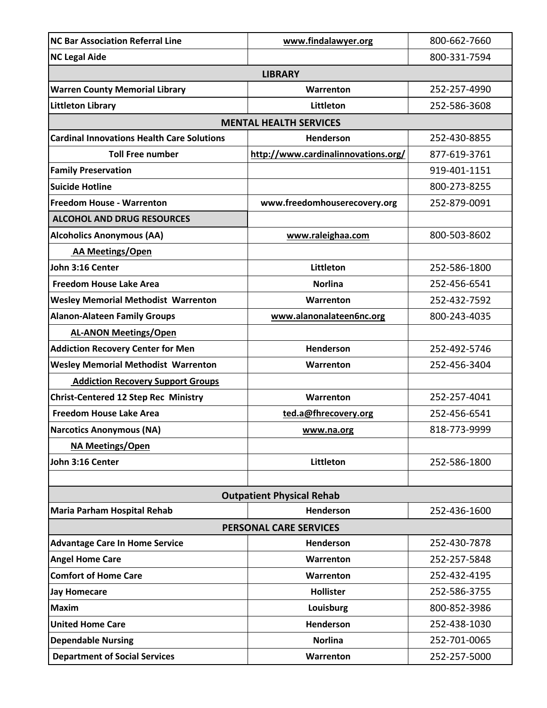| <b>NC Bar Association Referral Line</b>           | www.findalawyer.org                 | 800-662-7660 |  |
|---------------------------------------------------|-------------------------------------|--------------|--|
| <b>NC Legal Aide</b>                              |                                     | 800-331-7594 |  |
| <b>LIBRARY</b>                                    |                                     |              |  |
| <b>Warren County Memorial Library</b>             | Warrenton                           | 252-257-4990 |  |
| Littleton Library                                 | Littleton                           | 252-586-3608 |  |
|                                                   | <b>MENTAL HEALTH SERVICES</b>       |              |  |
| <b>Cardinal Innovations Health Care Solutions</b> | <b>Henderson</b>                    | 252-430-8855 |  |
| <b>Toll Free number</b>                           | http://www.cardinalinnovations.org/ | 877-619-3761 |  |
| <b>Family Preservation</b>                        |                                     | 919-401-1151 |  |
| <b>Suicide Hotline</b>                            |                                     | 800-273-8255 |  |
| <b>Freedom House - Warrenton</b>                  | www.freedomhouserecovery.org        | 252-879-0091 |  |
| <b>ALCOHOL AND DRUG RESOURCES</b>                 |                                     |              |  |
| <b>Alcoholics Anonymous (AA)</b>                  | www.raleighaa.com                   | 800-503-8602 |  |
| <b>AA Meetings/Open</b>                           |                                     |              |  |
| John 3:16 Center                                  | Littleton                           | 252-586-1800 |  |
| <b>Freedom House Lake Area</b>                    | Norlina                             | 252-456-6541 |  |
| <b>Wesley Memorial Methodist Warrenton</b>        | Warrenton                           | 252-432-7592 |  |
| <b>Alanon-Alateen Family Groups</b>               | www.alanonalateen6nc.org            | 800-243-4035 |  |
| <b>AL-ANON Meetings/Open</b>                      |                                     |              |  |
| <b>Addiction Recovery Center for Men</b>          | <b>Henderson</b>                    | 252-492-5746 |  |
| <b>Wesley Memorial Methodist Warrenton</b>        | Warrenton                           | 252-456-3404 |  |
| <b>Addiction Recovery Support Groups</b>          |                                     |              |  |
| <b>Christ-Centered 12 Step Rec Ministry</b>       | Warrenton                           | 252-257-4041 |  |
| <b>Freedom House Lake Area</b>                    | ted.a@fhrecovery.org                | 252-456-6541 |  |
| <b>Narcotics Anonymous (NA)</b>                   | www.na.org                          | 818-773-9999 |  |
| <b>NA Meetings/Open</b>                           |                                     |              |  |
| John 3:16 Center                                  | Littleton                           | 252-586-1800 |  |
|                                                   |                                     |              |  |
| <b>Outpatient Physical Rehab</b>                  |                                     |              |  |
| Maria Parham Hospital Rehab                       | <b>Henderson</b>                    | 252-436-1600 |  |
| <b>PERSONAL CARE SERVICES</b>                     |                                     |              |  |
| <b>Advantage Care In Home Service</b>             | <b>Henderson</b>                    | 252-430-7878 |  |
| <b>Angel Home Care</b>                            | Warrenton                           | 252-257-5848 |  |
| <b>Comfort of Home Care</b>                       | Warrenton                           | 252-432-4195 |  |
| <b>Jay Homecare</b>                               | <b>Hollister</b>                    | 252-586-3755 |  |
| <b>Maxim</b>                                      | Louisburg                           | 800-852-3986 |  |
| <b>United Home Care</b>                           | <b>Henderson</b>                    | 252-438-1030 |  |
| <b>Dependable Nursing</b>                         | <b>Norlina</b>                      | 252-701-0065 |  |
| <b>Department of Social Services</b>              | Warrenton                           | 252-257-5000 |  |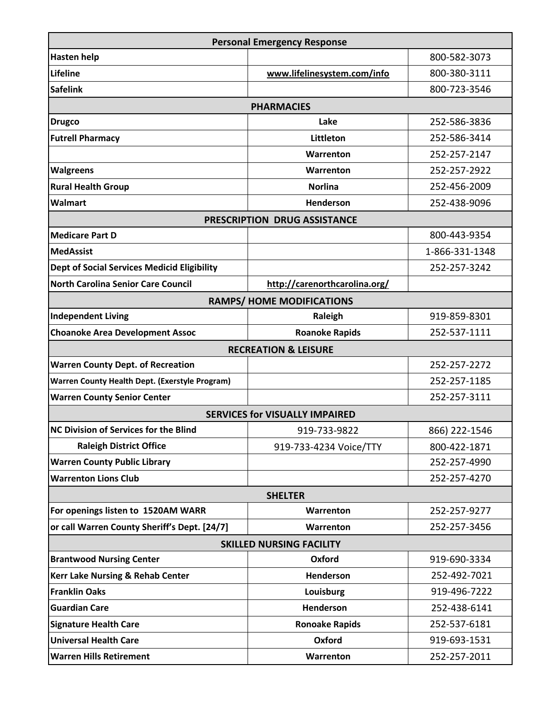| <b>Personal Emergency Response</b>                    |                                       |                |  |
|-------------------------------------------------------|---------------------------------------|----------------|--|
| Hasten help                                           |                                       | 800-582-3073   |  |
| Lifeline                                              | www.lifelinesystem.com/info           | 800-380-3111   |  |
| <b>Safelink</b>                                       |                                       | 800-723-3546   |  |
|                                                       | <b>PHARMACIES</b>                     |                |  |
| <b>Drugco</b>                                         | Lake                                  | 252-586-3836   |  |
| <b>Futrell Pharmacy</b>                               | Littleton                             | 252-586-3414   |  |
|                                                       | Warrenton                             | 252-257-2147   |  |
| <b>Walgreens</b>                                      | Warrenton                             | 252-257-2922   |  |
| <b>Rural Health Group</b>                             | <b>Norlina</b>                        | 252-456-2009   |  |
| <b>Walmart</b>                                        | <b>Henderson</b>                      | 252-438-9096   |  |
|                                                       | PRESCRIPTION DRUG ASSISTANCE          |                |  |
| Medicare Part D                                       |                                       | 800-443-9354   |  |
| <b>MedAssist</b>                                      |                                       | 1-866-331-1348 |  |
| <b>Dept of Social Services Medicid Eligibility</b>    |                                       | 252-257-3242   |  |
| North Carolina Senior Care Council                    | http://carenorthcarolina.org/         |                |  |
|                                                       | <b>RAMPS/ HOME MODIFICATIONS</b>      |                |  |
| <b>Independent Living</b>                             | Raleigh                               | 919-859-8301   |  |
| <b>Choanoke Area Development Assoc</b>                | <b>Roanoke Rapids</b>                 | 252-537-1111   |  |
|                                                       | <b>RECREATION &amp; LEISURE</b>       |                |  |
| <b>Warren County Dept. of Recreation</b>              |                                       | 252-257-2272   |  |
| <b>Warren County Health Dept. (Exerstyle Program)</b> |                                       | 252-257-1185   |  |
| <b>Warren County Senior Center</b>                    |                                       | 252-257-3111   |  |
|                                                       | <b>SERVICES for VISUALLY IMPAIRED</b> |                |  |
| NC Division of Services for the Blind                 | 919-733-9822                          | 866) 222-1546  |  |
| <b>Raleigh District Office</b>                        | 919-733-4234 Voice/TTY                | 800-422-1871   |  |
| <b>Warren County Public Library</b>                   |                                       | 252-257-4990   |  |
| <b>Warrenton Lions Club</b>                           |                                       | 252-257-4270   |  |
| <b>SHELTER</b>                                        |                                       |                |  |
| For openings listen to 1520AM WARR                    | Warrenton                             | 252-257-9277   |  |
| or call Warren County Sheriff's Dept. [24/7]          | Warrenton                             | 252-257-3456   |  |
| <b>SKILLED NURSING FACILITY</b>                       |                                       |                |  |
| <b>Brantwood Nursing Center</b>                       | Oxford                                | 919-690-3334   |  |
| <b>Kerr Lake Nursing &amp; Rehab Center</b>           | Henderson                             | 252-492-7021   |  |
| <b>Franklin Oaks</b>                                  | Louisburg                             | 919-496-7222   |  |
| <b>Guardian Care</b>                                  | <b>Henderson</b>                      | 252-438-6141   |  |
| <b>Signature Health Care</b>                          | <b>Ronoake Rapids</b>                 | 252-537-6181   |  |
| <b>Universal Health Care</b>                          | Oxford                                | 919-693-1531   |  |
| <b>Warren Hills Retirement</b>                        | Warrenton                             | 252-257-2011   |  |